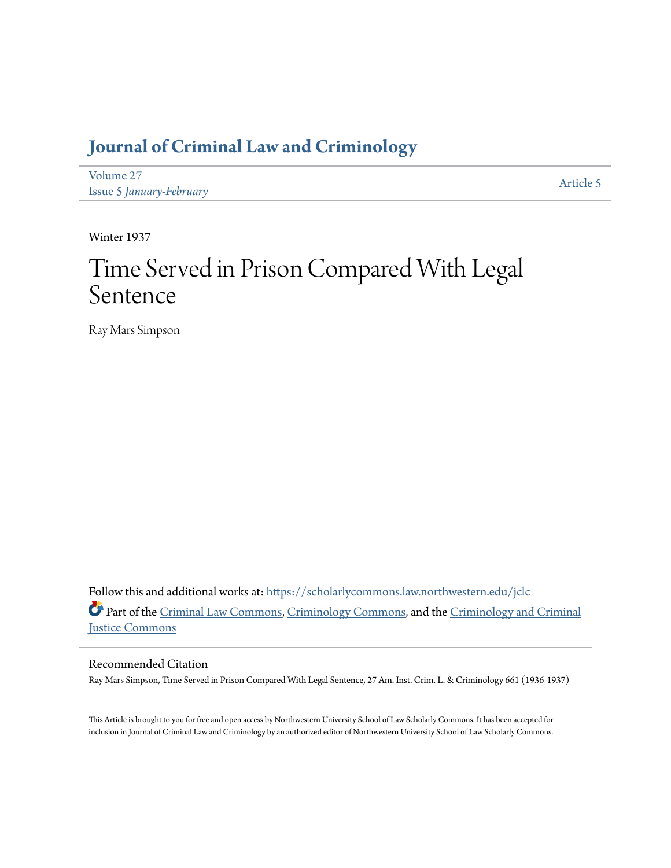# **[Journal of Criminal Law and Criminology](https://scholarlycommons.law.northwestern.edu/jclc?utm_source=scholarlycommons.law.northwestern.edu%2Fjclc%2Fvol27%2Fiss5%2F5&utm_medium=PDF&utm_campaign=PDFCoverPages)**

| Volume 27                       |  |
|---------------------------------|--|
| <b>Issue 5 January-February</b> |  |

[Article 5](https://scholarlycommons.law.northwestern.edu/jclc/vol27/iss5/5?utm_source=scholarlycommons.law.northwestern.edu%2Fjclc%2Fvol27%2Fiss5%2F5&utm_medium=PDF&utm_campaign=PDFCoverPages)

Winter 1937

# Time Served in Prison Compared With Legal Sentence

Ray Mars Simpson

Follow this and additional works at: [https://scholarlycommons.law.northwestern.edu/jclc](https://scholarlycommons.law.northwestern.edu/jclc?utm_source=scholarlycommons.law.northwestern.edu%2Fjclc%2Fvol27%2Fiss5%2F5&utm_medium=PDF&utm_campaign=PDFCoverPages) Part of the [Criminal Law Commons](http://network.bepress.com/hgg/discipline/912?utm_source=scholarlycommons.law.northwestern.edu%2Fjclc%2Fvol27%2Fiss5%2F5&utm_medium=PDF&utm_campaign=PDFCoverPages), [Criminology Commons](http://network.bepress.com/hgg/discipline/417?utm_source=scholarlycommons.law.northwestern.edu%2Fjclc%2Fvol27%2Fiss5%2F5&utm_medium=PDF&utm_campaign=PDFCoverPages), and the [Criminology and Criminal](http://network.bepress.com/hgg/discipline/367?utm_source=scholarlycommons.law.northwestern.edu%2Fjclc%2Fvol27%2Fiss5%2F5&utm_medium=PDF&utm_campaign=PDFCoverPages) [Justice Commons](http://network.bepress.com/hgg/discipline/367?utm_source=scholarlycommons.law.northwestern.edu%2Fjclc%2Fvol27%2Fiss5%2F5&utm_medium=PDF&utm_campaign=PDFCoverPages)

# Recommended Citation

Ray Mars Simpson, Time Served in Prison Compared With Legal Sentence, 27 Am. Inst. Crim. L. & Criminology 661 (1936-1937)

This Article is brought to you for free and open access by Northwestern University School of Law Scholarly Commons. It has been accepted for inclusion in Journal of Criminal Law and Criminology by an authorized editor of Northwestern University School of Law Scholarly Commons.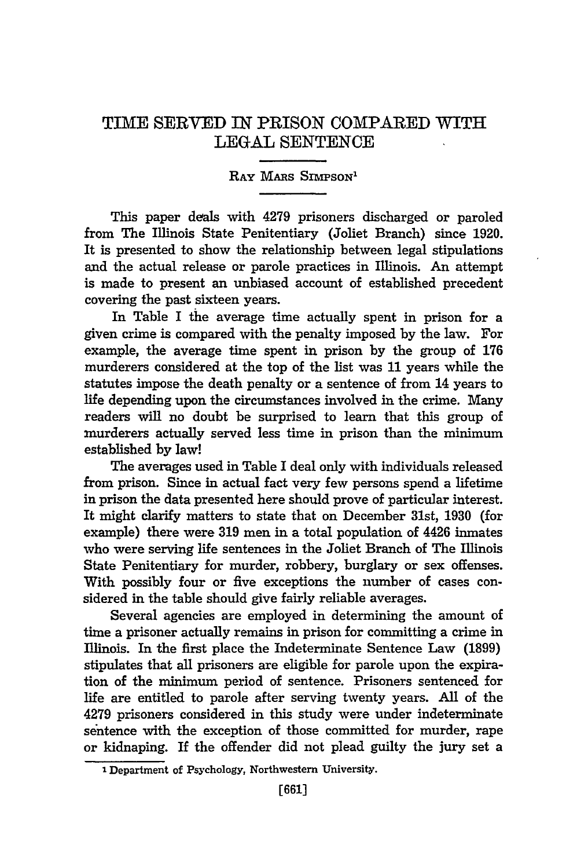# TIME SERVED IN PRISON COMPARED WITH LEGAL SENTENCE

#### **RAY MARS** SIMPSON'

This paper deals with 4279 prisoners discharged or paroled from The Illinois State Penitentiary (Joliet Branch) since **1920.** It is presented to show the relationship between legal stipulations and the actual release or parole practices in Illinois. An attempt is made to present an unbiased account of established precedent covering the past sixteen years.

In Table I the average time actually spent in prison for a given crime is compared with the penalty imposed by the law. For example, the average time spent in prison by the group of **176** murderers considered at the top of the list was 11 years while the statutes impose the death penalty or a sentence of from 14 years to life depending upon the circumstances involved in the crime. Many readers will no doubt be surprised to learn that this group of murderers actually served less time in prison than the minimum established by law!

The averages used in Table I deal only with individuals released from prison. Since in actual fact very few persons spend a lifetime in prison the data presented here should prove of particular interest. It might clarify matters to state that on December 31st, **1930** (for example) there were **319** men in a total population of 4426 inmates who were serving life sentences in the Joliet Branch of The Illinois State Penitentiary for murder, robbery, burglary or sex offenses. With possibly four or five exceptions the number of cases considered in the table should give fairly reliable averages.

Several agencies are employed in determining the amount of time a prisoner actually remains in prison for committing a crime in Illinois. In the first place the Indeterminate Sentence Law (1899) stipulates that all prisoners are eligible for parole upon the expiration of the minimum period of sentence. Prisoners sentenced for life are entitled to parole after serving twenty years. All of the 4279 prisoners considered in this study were under indeterminate sentence with the exception of those committed for murder, rape or kidnaping. If the offender did not plead guilty the jury set a

**<sup>1</sup>** Department of Psychology, Northwestern University.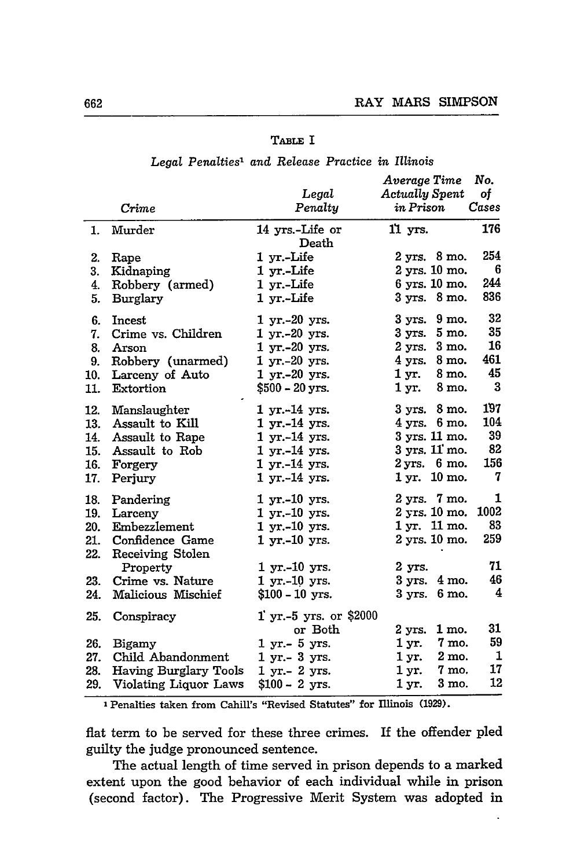#### **TABLE** I

#### *Legal Penalties' and Release Practice in Illinois*

|            |                                     |                                            | Average Time                    | No.         |
|------------|-------------------------------------|--------------------------------------------|---------------------------------|-------------|
|            |                                     | Legal                                      | <b>Actually Spent</b>           | of          |
|            | Crime                               | Penalty                                    | in Prison                       | Cases       |
| 1.         | Murder                              | 14 yrs.-Life or<br>Death                   | l'1 yrs.                        | 176         |
| 2.         | Rape                                | 1 yr.-Life                                 | 2 yrs. 8 mo.                    | 254         |
| 3.         | Kidnaping                           | 1 yr.–Life                                 | 2 yrs. 10 mo.                   | 6           |
| 4.         | Robbery (armed)                     | 1 yr.-Life                                 | 6 yrs. 10 mo.                   | 244         |
| 5.         | Burglary                            | 1 yr.-Life                                 | $3 \text{ yrs. } 8 \text{ mo.}$ | 836         |
| 6.         | Incest                              | 1 yr.-20 yrs.                              | $3 \text{ yrs. } 9 \text{ mo.}$ | 32          |
| 7.         | Crime vs. Children                  | $1$ yr.-20 yrs.                            | 5 mo.<br>3 yrs.                 | 35          |
| 8.         | Arson                               | 1 yr.-20 yrs.                              | 3 mo.<br>2 yrs.                 | 16          |
| 9.         | Robbery (unarmed)                   | $1$ yr. $-20$ yrs.                         | $4 \text{ yrs.}$<br>8 mo.       | 461         |
| 10.        | Larceny of Auto                     | 1 yr.-20 yrs.                              | $1 \,\mathrm{yr}$ .<br>8 mo.    | 45          |
| 11.        | Extortion                           | \$500 - 20 yrs.                            | $1 \,\mathrm{yr}$ .<br>8 mo.    | 3           |
| 12.        | Manslaughter                        | $1 \text{ yr.-}14 \text{ yrs.}$            | 3 yrs. 8 mo.                    | 197         |
| 13.        | Assault to Kill                     | $1 \text{ yr}$ -14 yrs.                    | 4 yrs. 6 mo.                    | 104         |
| 14.        | Assault to Rape                     | $1 \text{ yr}$ -14 yrs.                    | 3 yrs. 11 mo.                   | 39          |
| 15.        | Assault to Rob                      | $1 \text{ yr}$ -14 yrs.                    | 3 yrs. 11 mo.                   | 82          |
| 16.        | Forgery                             | $1 \text{ yr}$ -14 yrs.                    | $2 \text{ yrs.}$ 6 mo.          | 156         |
| 17.        | Perjury                             | $1 \text{ yr}$ -14 yrs.                    | 1 yr. 10 mo.                    | 7           |
| 18.        | Pandering                           | $1 \text{ yr}$ -10 yrs.                    | 2 yrs. 7 mo.                    | 1           |
| 19.        | Larceny                             | $1 yr.-10 yrs.$                            | $2$ yrs. $10$ mo.               | 1002        |
| 20.        | Embezzlement                        | $1 \, yr.-10 \, yrs.$                      | 1 yr. 11 mo.                    | 83          |
| 21.<br>22. | Confidence Game<br>Receiving Stolen | $1 yr.-10 yrs.$                            | 2 yrs. 10 mo.                   | 259         |
|            | Property                            | $1 \text{ yr}$ -10 yrs.                    | 2 yrs.                          | 71          |
| 23.        | Crime vs. Nature                    | 1 yr.-10 yrs.                              | 4 mo.<br>3 yrs.                 | 46          |
| 24.        | Malicious Mischief                  | $$100 - 10$ yrs.                           | $3 \text{ yrs. } 6 \text{ mo.}$ | 4           |
| 25.        | Conspiracy                          | $1 \text{ yr} - 5 \text{ yrs}$ . or \$2000 |                                 |             |
|            |                                     | or Both                                    | $1 \text{ mo}$ .<br>2 yrs.      | 31          |
| 26.        | <b>Bigamy</b>                       | 1 yr.- 5 yrs.                              | $7$ mo.<br>1 yr.                | 59          |
| 27.        | Child Abandonment                   | $1 yr - 3 yrs.$                            | 1 yr.<br>2 mo.                  | $\mathbf 1$ |
| 28.        | Having Burglary Tools               | 1 yr. - 2 yrs.                             | 7 mo.<br>1 yr.                  | 17          |
| 29.        | Violating Liquor Laws               | $$100 - 2$ yrs.                            | 3 mo.<br>1 yr.                  | 12          |

' Penalties taken from Cahill's "Revised Statutes" for Illinois (1929).

flat term to be served for these three crimes. If the offender pled guilty the judge pronounced sentence.

The actual length of time served in prison depends to a marked extent upon the good behavior of each individual while in prison (second factor). The Progressive Merit System was adopted in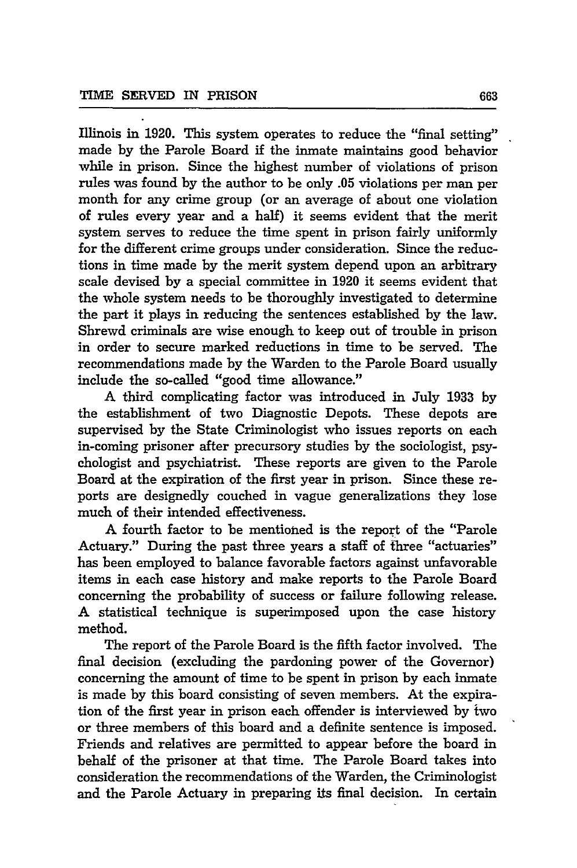Illinois in 1920. This system operates to reduce the "final setting" made **by** the Parole Board if the inmate maintains good behavior while in prison. Since the highest number of violations of prison rules was found **by** the author to be only **.05** violations per man per month for any crime group (or an average of about one violation of rules every year and a half) it seems evident that the merit system serves to reduce the time spent in prison fairly uniformly for the different crime groups under consideration. Since the reductions in time made by the merit system depend upon an arbitrary scale devised by a special committee in **1920** it seems evident that the whole system needs to be thoroughly investigated to determine the part it plays in reducing the sentences established **by** the law. Shrewd criminals are wise enough to keep out of trouble in prison in order to secure marked reductions in time to be served. The recommendations made by the Warden to the Parole Board usually include the so-called "good time allowance."

A third complicating factor was introduced in July **1933 by** the establishment of two Diagnostic Depots. These depots are supervised by the State Criminologist who issues reports on each in-coming prisoner after precursory studies by the sociologist, psychologist and psychiatrist. These reports are given to the Parole Board at the expiration of the first year in prison. Since these reports are designedly couched in vague generalizations they lose much of their intended effectiveness.

A fourth factor to be mentioned is the report of the "Parole Actuary." During the past three years a staff of three "actuaries" has been employed to balance favorable factors against unfavorable items in each case history and make reports to the Parole Board concerning the probability of success or failure following release. A statistical technique is superimposed upon the case history method.

The report of the Parole Board is the fifth factor involved. The final decision (excluding the pardoning power of the Governor) concerning the amount of time to be spent in prison **by** each inmate is made by this board consisting of seven members. At the expiration of the first year in prison each offender is interviewed **by two** or three members of this board and a definite sentence is imposed. Friends and relatives are permitted to appear before the board in behalf of the prisoner at that time. The Parole Board takes into consideration the recommendations of the Warden, the Criminologist and the Parole Actuary in preparing its final decision. In certain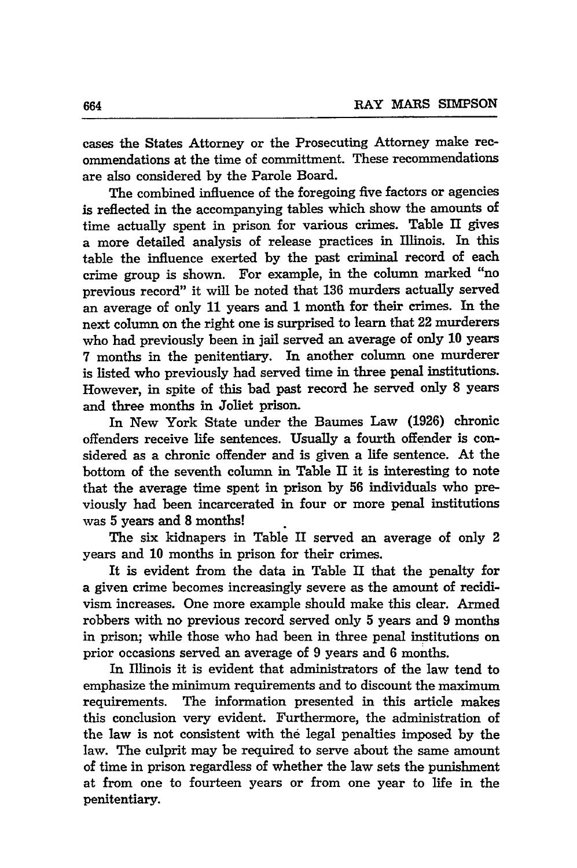cases the States Attorney or the Prosecuting Attorney make recommendations at the time of committment. These recommendations are also considered **by** the Parole Board.

The combined influence of the foregoing five factors or agencies is reflected in the accompanying tables which show the amounts of time actually spent in prison for various crimes. Table **II** gives a more detailed analysis of release practices in Illinois. In this table the influence exerted **by** the past criminal record of each crime group is shown. For example, in the column marked "no previous record" it will be noted that **136** murders actually served an average of only **11** years and **1** month for their crimes. In the next column on the right one is surprised to learn that 22 murderers who had previously been in jail served an average of only **10** years **7** months in the penitentiary. In another column one murderer is listed who previously had served time in three penal institutions. However, in spite of this bad past record he served only **8** years and three months in Joliet prison.

In New York State under the Baumes Law **(1926)** chronic offenders receive life sentences. Usually a fourth offender is considered as a chronic offender and is given a life sentence. At the bottom of the seventh column in Table **H** it is interesting to note that the average time spent in prison **by 56** individuals who previously had been incarcerated in four or more penal institutions **was 5** years and **8** months!

The six kidnapers in Table II served an average of only 2 years and **10** months in prison for their crimes.

It is evident from the data in Table **H** that the penalty for a given crime becomes increasingly severe as the amount of recidivism increases. One more example should make this clear. Armed robbers with no previous record served only **5** years and **9** months in prison; while those who had been in three penal institutions on prior occasions served an average of **9** years and **6** months.

In Illinois it is evident that administrators of the law tend to emphasize the minimum requirements and to discount the maximum requirements. The information presented in this article makes this conclusion very evident. Furthermore, the administration of the law is not consistent with the legal penalties imposed **by** the law. The culprit may be required to serve about the same amount of time in prison regardless of whether the law sets the punishment at from one to fourteen years or from one year to life in the penitentiary.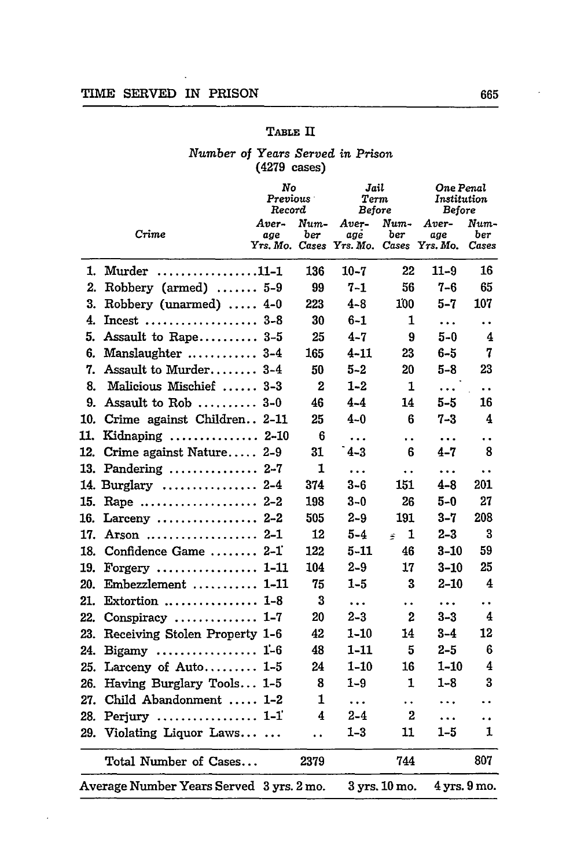$\cdot$ 

#### **TABLE** II

#### *Number of Years Served in Prison* (4279 cases)

|                                          |                                                           |              | No<br><b>Previous</b><br>Record |                                                        | Jail<br>Term<br>Before |              | One Penal<br>Institution<br><b>Before</b> |  |
|------------------------------------------|-----------------------------------------------------------|--------------|---------------------------------|--------------------------------------------------------|------------------------|--------------|-------------------------------------------|--|
|                                          | Crime                                                     | Aver-<br>age | Num-<br>ber                     | Aver-<br>age<br>Yrs. Mo. Cases Yrs. Mo. Cases Yrs. Mo. | Num-<br>ber            | Aver-<br>age | Num-<br>ber<br>Cases                      |  |
|                                          | 1. Murder 11-1                                            |              | 136                             | $10 - 7$                                               | 22                     | $11 - 9$     | 16                                        |  |
| 2.                                       | Robbery (armed) $\ldots \ldots 5-9$                       |              | 99                              | $7 - 1$                                                | 56                     | $7 - 6$      | 65                                        |  |
| 3.                                       | Robbery (unarmed) $\ldots$ 4-0                            |              | 223                             | $4 - 8$                                                | 100                    | 5-7          | 107                                       |  |
| 4.                                       | Incest $3-8$                                              |              | 30                              | $6 - 1$                                                | 1                      | .            | $\ddot{\phantom{0}}$                      |  |
|                                          | 5. Assault to Rape $3-5$                                  |              | 25                              | $4 - 7$                                                | 9                      | $5 - 0$      | 4                                         |  |
| 6.                                       | Manslaughter $\ldots \ldots \ldots 3-4$                   |              | 165                             | 4-11                                                   | 23                     | 6–5          | 7                                         |  |
|                                          | 7. Assault to Murder 3-4                                  |              | 50                              | $5-2$                                                  | 20                     | $5 - 8$      | 23                                        |  |
| 8.                                       | Malicious Mischief  3-3                                   |              | 2                               | $1 - 2$                                                | 1                      | $\ddotsc$    | $\ddot{\phantom{a}}$                      |  |
|                                          | 9. Assault to Rob $3-0$                                   |              | 46                              | $4 - 4$                                                | 14                     | $5 - 5$      | 16                                        |  |
| 10.                                      | Crime against Children 2-11                               |              | 25                              | $4 - 0$                                                | 6                      | 7-3          | 4                                         |  |
| 11.                                      | Kidnaping $\ldots \ldots \ldots \ldots 2$ -10             |              | 6                               | .                                                      | $\ddot{\phantom{0}}$   | $\ddotsc$    | . .                                       |  |
| 12.                                      | Crime against Nature 2-9                                  |              | 31                              | $-4-3$                                                 | 6                      | 4–7          | 8                                         |  |
| 13.                                      | Pandering  2-7                                            |              | 1                               | $\ddotsc$                                              | $\ddot{\phantom{0}}$   | $\ddotsc$    | $\ddot{\phantom{0}}$                      |  |
|                                          | 14. Burglary  2-4                                         |              | 374                             | 3-6                                                    | 151                    | 4-8          | 201                                       |  |
| 15.                                      | Rape  2-2                                                 |              | 198                             | $3 - 0$                                                | 26                     | 5-0          | 27                                        |  |
| 16.                                      | Larceny  2-2                                              |              | 505                             | 2-9                                                    | 191                    | 3-7          | 208                                       |  |
| 17.                                      | Arson  2-1                                                |              | 12                              | 5-4                                                    | 1<br>÷.                | $2 - 3$      | 3                                         |  |
| 18.                                      | Confidence Game $\ldots \ldots$ 2-1                       |              | 122                             | $5 - 11$                                               | 46                     | $3 - 10$     | 59                                        |  |
| 19.                                      | $\text{Forgery} \dots \dots \dots \dots \dots \dots 1-11$ |              | 104                             | 2-9                                                    | 17                     | $3 - 10$     | 25                                        |  |
| 20.                                      | $Embezzlement$ 1-11                                       |              | 75                              | $1-5$                                                  | 3                      | $2 - 10$     | 4                                         |  |
| 21.                                      | Extortion $\ldots \ldots \ldots \ldots \ldots 1-8$        |              | 3                               | .                                                      | $\ddot{\phantom{0}}$   | $\ddotsc$    | $\ddot{\phantom{0}}$                      |  |
| 22.                                      | Conspiracy $1-7$                                          |              | 20                              | $2 - 3$                                                | 2                      | 3-3          | 4                                         |  |
| 23.                                      | Receiving Stolen Property 1-6                             |              | 42                              | 1-10                                                   | 14                     | 3-4          | 12                                        |  |
| 24.                                      |                                                           |              | 48                              | $1 - 11$                                               | 5                      | $2 - 5$      | 6                                         |  |
| 25.                                      | Larceny of Auto 1-5                                       |              | 24                              | $1 - 10$                                               | 16                     | $1 - 10$     | 4                                         |  |
| 26.                                      | Having Burglary Tools 1-5                                 |              | 8                               | 1-9                                                    | 1                      | $1 - 8$      | 3                                         |  |
| 27.                                      | Child Abandonment  1-2                                    |              | 1                               | $\ddotsc$                                              | $\ddot{\phantom{a}}$   | .            | ٠.                                        |  |
| 28.                                      |                                                           |              | 4                               | $2 - 4$                                                | 2                      | $\ddotsc$    | $\ddot{\phantom{0}}$                      |  |
| 29.                                      | Violating Liquor Laws                                     |              | $\ddot{\phantom{0}}$            | 1-3                                                    | 11                     | 1-5          | 1                                         |  |
|                                          | Total Number of Cases                                     |              | 2379                            |                                                        | 744                    |              | 807                                       |  |
| Average Number Years Served 3 yrs. 2 mo. |                                                           |              |                                 |                                                        | 3 yrs. 10 mo.          | 4 yrs. 9 mo. |                                           |  |

 $\ddot{\phantom{0}}$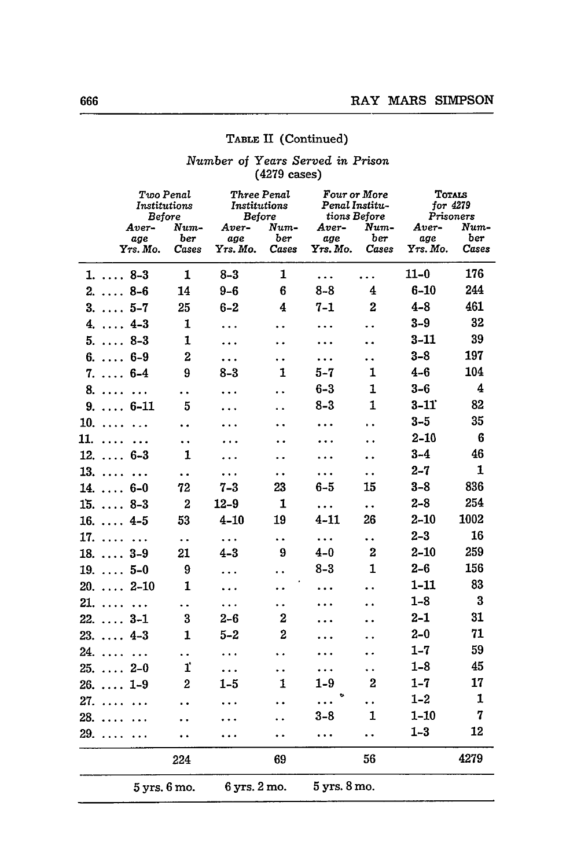### **TABLE** II (Continued)

#### *Number of Years Served in Prison* (4279 cases)

|                  | Two Penal<br>Institutions<br>Before |                      |                          | Four or More<br>Three Penal<br>Institutions<br>Penal Institu-<br>Before<br>tions Before |                          | TOTALS<br>for 4279<br>Prisoners |                          |                      |
|------------------|-------------------------------------|----------------------|--------------------------|-----------------------------------------------------------------------------------------|--------------------------|---------------------------------|--------------------------|----------------------|
|                  | Aver-<br>age<br>Yrs. Mo.            | Num-<br>ber<br>Cases | Aver-<br>age<br>Yrs. Mo. | Num-<br>ber<br>Cases                                                                    | Aver-<br>age<br>Yrs. Mo. | Num-<br>ber<br>Cases            | Aver-<br>age<br>Yrs. Mo. | Num-<br>ber<br>Cases |
| $1. \ldots 8-3$  |                                     | $\mathbf{1}$         | $8 - 3$                  | $\mathbf{1}$                                                                            | .                        | .                               | $11 - 0$                 | 176                  |
| $2. \ldots 8-6$  |                                     | 14                   | $9 - 6$                  | 6                                                                                       | 8–8                      | 4                               | $6 - 10$                 | 244                  |
| $3. \ldots 5-7$  |                                     | 25                   | $6-2$                    | 4                                                                                       | $7 - 1$                  | 2                               | $4 - 8$                  | 461                  |
| 4.<br>$\cdots$   | $4 - 3$                             | $\mathbf{1}$         | .                        |                                                                                         |                          | . .                             | $3 - 9$                  | 32                   |
| $5. \ldots$      | $8 - 3$                             | 1                    |                          |                                                                                         |                          | . .                             | $3 - 11$                 | 39                   |
| $6. \ldots$      | $6-9$                               | $\mathbf{2}$         |                          |                                                                                         |                          | . .                             | $3 - 8$                  | 197                  |
| $7. \ldots 6-4$  |                                     | 9                    | 8–3                      | 1                                                                                       | $5 - 7$                  | 1                               | 4-6                      | 104                  |
| $8. \ldots$      | $\sim$ .                            | . .                  |                          | . .                                                                                     | 6-3                      | 1                               | 3-6                      | 4                    |
|                  | $9. \ldots 6-11$                    | 5                    |                          |                                                                                         | 8–3                      | 1                               | $3 - 11$                 | 82                   |
| 10.<br>$\ddots$  | $\ddotsc$                           | $\ddot{\phantom{0}}$ |                          |                                                                                         |                          | $\ddot{\phantom{0}}$            | $3 - 5$                  | 35                   |
| 11.<br>$\ldots$  |                                     | . .                  |                          |                                                                                         |                          |                                 | $2 - 10$                 | 6                    |
| $12. \ldots 6-3$ |                                     | 1                    |                          |                                                                                         |                          |                                 | $3 - 4$                  | 46                   |
| $13. \ldots$     | $\overline{1}$                      | $\ddot{\phantom{0}}$ |                          | . .                                                                                     |                          | . .                             | $2 - 7$                  | 1                    |
| $14. \ldots 6-0$ |                                     | 72                   | 7-3                      | 23                                                                                      | 6–5                      | 15                              | $3 - 8$                  | 836                  |
| $15. \ldots$     | $8 - 3$                             | $\overline{2}$       | 12-9                     | 1                                                                                       | .                        | $\ddot{\phantom{0}}$            | $2 - 8$                  | 254                  |
| $16. \ldots 4-5$ |                                     | 53                   | $4 - 10$                 | 19                                                                                      | $4 - 11$                 | 26                              | $2 - 10$                 | 1002                 |
| $17. \ldots$     | $\ddotsc$                           | $\ddot{\phantom{a}}$ | .                        | $\ddot{\phantom{0}}$                                                                    | $\ddotsc$                | $\ddot{\phantom{0}}$            | $2 - 3$                  | 16                   |
| $18. \ldots 3-9$ |                                     | 21                   | 4-3                      | 9                                                                                       | $4 - 0$                  | 2                               | $2 - 10$                 | 259                  |
| $19. \ldots 5-0$ |                                     | 9                    |                          | . .                                                                                     | 8-3                      | 1                               | $2 - 6$                  | 156                  |
| $20. \ldots$     | $2 - 10$                            | 1                    |                          | . .                                                                                     |                          |                                 | $1 - 11$                 | 83                   |
| 21.<br>$\ldots$  | $\ddotsc$                           | $\ddot{\phantom{0}}$ | .                        | . .                                                                                     |                          |                                 | $1 - 8$                  | 3                    |
| $22. \ldots$     | $3 - 1$                             | 3                    | 2-6                      | 2                                                                                       |                          |                                 | $2 - 1$                  | 31                   |
| $23. \ldots$     | 4-3                                 | $\mathbf{1}$         | $5 - 2$                  | 2                                                                                       |                          |                                 | $2-0$                    | 71                   |
| 24.<br>$\ddots$  | $\ddotsc$                           | $\ddot{\phantom{0}}$ |                          | . .                                                                                     |                          |                                 | $1 - 7$                  | 59                   |
| 25.              | $\ldots$ 2-0                        | ľ                    | .                        | . .                                                                                     |                          | . .                             | $1 - 8$                  | 45                   |
| $26. \ldots$     | 1-9                                 | 2                    | 1-5                      | 1                                                                                       | 1-9                      | $\bf{2}$                        | $1 - 7$                  | 17                   |
| 27.<br>$\cdots$  |                                     | . .                  |                          |                                                                                         |                          | . .                             | $1-2$                    | $\mathbf{1}$         |
| $28. \ldots$     |                                     |                      |                          | . .                                                                                     | 3-8                      | 1                               | $1 - 10$                 | 7                    |
| $29. \ldots$     | $\ddotsc$                           | . .                  |                          | $\ddot{\phantom{a}}$                                                                    |                          |                                 | $1 - 3$                  | 12                   |
|                  |                                     | 224                  |                          | 69                                                                                      |                          | 56                              |                          | 4279                 |
|                  | 5 yrs. 6 mo.                        |                      | 6 yrs. 2 mo.             |                                                                                         | 5 yrs. 8 mo.             |                                 |                          |                      |